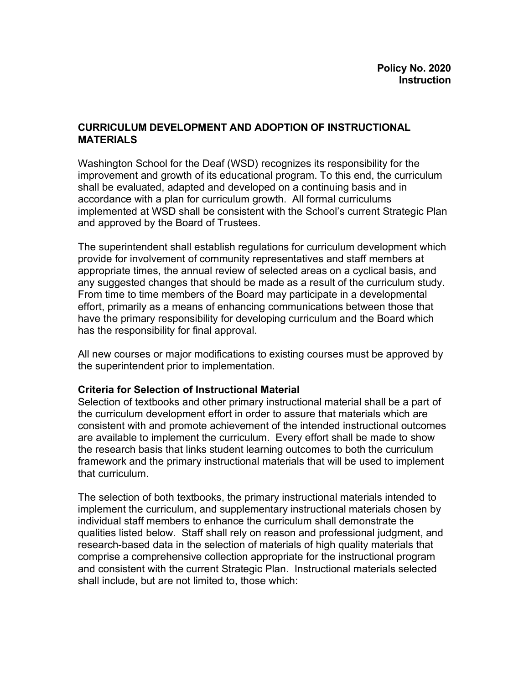## **CURRICULUM DEVELOPMENT AND ADOPTION OF INSTRUCTIONAL MATERIALS**

Washington School for the Deaf (WSD) recognizes its responsibility for the improvement and growth of its educational program. To this end, the curriculum shall be evaluated, adapted and developed on a continuing basis and in accordance with a plan for curriculum growth. All formal curriculums implemented at WSD shall be consistent with the School's current Strategic Plan and approved by the Board of Trustees.

The superintendent shall establish regulations for curriculum development which provide for involvement of community representatives and staff members at appropriate times, the annual review of selected areas on a cyclical basis, and any suggested changes that should be made as a result of the curriculum study. From time to time members of the Board may participate in a developmental effort, primarily as a means of enhancing communications between those that have the primary responsibility for developing curriculum and the Board which has the responsibility for final approval.

All new courses or major modifications to existing courses must be approved by the superintendent prior to implementation.

## **Criteria for Selection of Instructional Material**

Selection of textbooks and other primary instructional material shall be a part of the curriculum development effort in order to assure that materials which are consistent with and promote achievement of the intended instructional outcomes are available to implement the curriculum. Every effort shall be made to show the research basis that links student learning outcomes to both the curriculum framework and the primary instructional materials that will be used to implement that curriculum.

The selection of both textbooks, the primary instructional materials intended to implement the curriculum, and supplementary instructional materials chosen by individual staff members to enhance the curriculum shall demonstrate the qualities listed below. Staff shall rely on reason and professional judgment, and research-based data in the selection of materials of high quality materials that comprise a comprehensive collection appropriate for the instructional program and consistent with the current Strategic Plan. Instructional materials selected shall include, but are not limited to, those which: